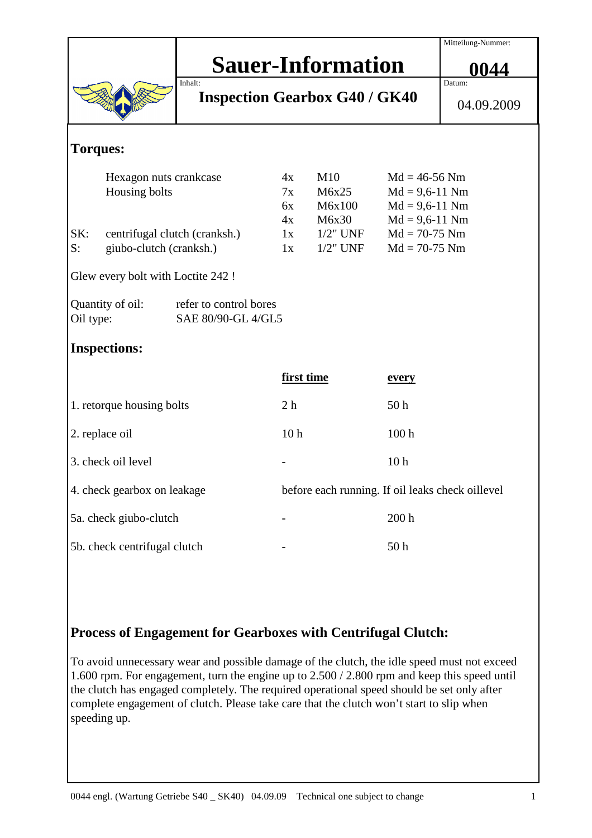|                                                                               |                                         |          |                 |                                                  |                  | Mitteilung-Nummer:                  |  |
|-------------------------------------------------------------------------------|-----------------------------------------|----------|-----------------|--------------------------------------------------|------------------|-------------------------------------|--|
|                                                                               | <b>Sauer-Information</b>                |          |                 |                                                  |                  |                                     |  |
|                                                                               |                                         |          |                 |                                                  |                  | 0044                                |  |
| Inhalt:<br><b>Inspection Gearbox G40 / GK40</b>                               |                                         |          |                 |                                                  |                  | Datum:                              |  |
|                                                                               |                                         |          |                 |                                                  | 04.09.2009       |                                     |  |
| <b>Torques:</b>                                                               |                                         |          |                 |                                                  |                  |                                     |  |
|                                                                               |                                         |          |                 |                                                  |                  |                                     |  |
|                                                                               | Hexagon nuts crankcase<br>Housing bolts |          | 4x              | M10                                              |                  | $Md = 46-56$ Nm<br>$Md = 9,6-11$ Nm |  |
|                                                                               |                                         |          | 7x              | M6x25                                            |                  |                                     |  |
|                                                                               |                                         | 6x<br>4x | M6x100          | $Md = 9,6-11$ Nm                                 |                  |                                     |  |
|                                                                               |                                         |          |                 | M6x30                                            | $Md = 9,6-11$ Nm |                                     |  |
| SK:                                                                           | centrifugal clutch (cranksh.)           |          | 1x              | $1/2$ " UNF                                      | $Md = 70-75$ Nm  |                                     |  |
| S:                                                                            | giubo-clutch (cranksh.)                 |          | 1x              | $1/2$ " UNF                                      | $Md = 70-75$ Nm  |                                     |  |
| Glew every bolt with Loctite 242 !                                            |                                         |          |                 |                                                  |                  |                                     |  |
| Quantity of oil:<br>refer to control bores<br>SAE 80/90-GL 4/GL5<br>Oil type: |                                         |          |                 |                                                  |                  |                                     |  |
| <b>Inspections:</b>                                                           |                                         |          |                 |                                                  |                  |                                     |  |
|                                                                               |                                         |          | first time      |                                                  | <u>every</u>     |                                     |  |
| 1. retorque housing bolts                                                     |                                         |          | 2 <sub>h</sub>  |                                                  | 50 <sub>h</sub>  |                                     |  |
| 2. replace oil                                                                |                                         |          | 10 <sub>h</sub> |                                                  | 100 <sub>h</sub> |                                     |  |
| 3. check oil level                                                            |                                         |          |                 |                                                  | 10 <sub>h</sub>  |                                     |  |
| 4. check gearbox on leakage                                                   |                                         |          |                 | before each running. If oil leaks check oillevel |                  |                                     |  |
| 5a. check giubo-clutch                                                        |                                         |          |                 |                                                  | 200 <sub>h</sub> |                                     |  |
| 5b. check centrifugal clutch                                                  |                                         |          |                 |                                                  | 50 <sub>h</sub>  |                                     |  |

## **Process of Engagement for Gearboxes with Centrifugal Clutch:**

To avoid unnecessary wear and possible damage of the clutch, the idle speed must not exceed 1.600 rpm. For engagement, turn the engine up to 2.500 / 2.800 rpm and keep this speed until the clutch has engaged completely. The required operational speed should be set only after complete engagement of clutch. Please take care that the clutch won't start to slip when speeding up.